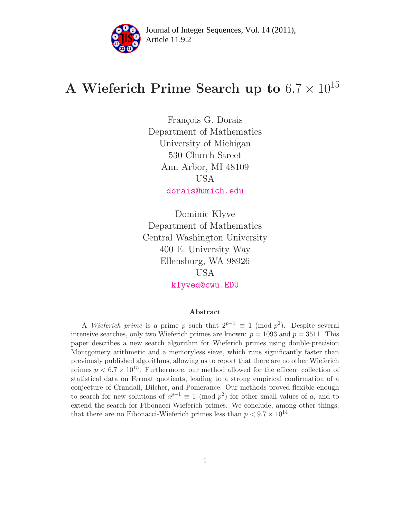

Article 11.9.2 **<sup>2</sup>** Journal of Integer Sequences, Vol. 14 (2011),

# A Wieferich Prime Search up to  $6.7 \times 10^{15}$

François G. Dorais Department of Mathematics University of Michigan 530 Church Street Ann Arbor, MI 48109 USA [dorais@umich.edu](mailto:dorais@umich.edu)

Dominic Klyve Department of Mathematics Central Washington University 400 E. University Way Ellensburg, WA 98926 USA [klyved@cwu.EDU](mailto:klyved@cwu.EDU)

#### Abstract

A Wieferich prime is a prime p such that  $2^{p-1} \equiv 1 \pmod{p^2}$ . Despite several intensive searches, only two Wieferich primes are known:  $p = 1093$  and  $p = 3511$ . This paper describes a new search algorithm for Wieferich primes using double-precision Montgomery arithmetic and a memoryless sieve, which runs significantly faster than previously published algorithms, allowing us to report that there are no other Wieferich primes  $p < 6.7 \times 10^{15}$ . Furthermore, our method allowed for the efficent collection of statistical data on Fermat quotients, leading to a strong empirical confirmation of a conjecture of Crandall, Dilcher, and Pomerance. Our methods proved flexible enough to search for new solutions of  $a^{p-1} \equiv 1 \pmod{p^2}$  for other small values of a, and to extend the search for Fibonacci-Wieferich primes. We conclude, among other things, that there are no Fibonacci-Wieferich primes less than  $p < 9.7 \times 10^{14}$ .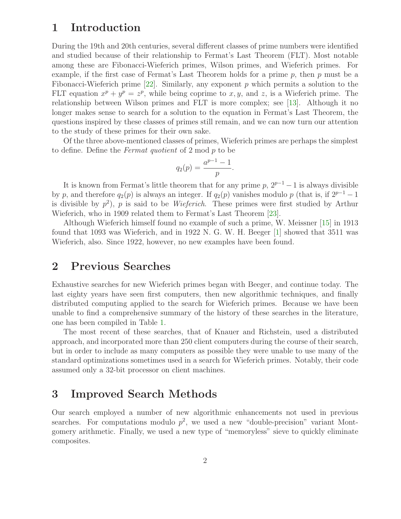# 1 Introduction

During the 19th and 20th centuries, several different classes of prime numbers were identified and studied because of their relationship to Fermat's Last Theorem (FLT). Most notable among these are Fibonacci-Wieferich primes, Wilson primes, and Wieferich primes. For example, if the first case of Fermat's Last Theorem holds for a prime  $p$ , then  $p$  must be a Fibonacci-Wieferich prime  $[22]$ . Similarly, any exponent p which permits a solution to the FLT equation  $x^p + y^p = z^p$ , while being coprime to x, y, and z, is a Wieferich prime. The relationship between Wilson primes and FLT is more complex; see [\[13\]](#page-12-0). Although it no longer makes sense to search for a solution to the equation in Fermat's Last Theorem, the questions inspired by these classes of primes still remain, and we can now turn our attention to the study of these primes for their own sake.

Of the three above-mentioned classes of primes, Wieferich primes are perhaps the simplest to define. Define the Fermat quotient of 2 mod p to be

$$
q_2(p) = \frac{a^{p-1} - 1}{p}.
$$

It is known from Fermat's little theorem that for any prime  $p$ ,  $2^{p-1}-1$  is always divisible by p, and therefore  $q_2(p)$  is always an integer. If  $q_2(p)$  vanishes modulo p (that is, if  $2^{p-1}-1$ is divisible by  $p^2$ ), p is said to be *Wieferich*. These primes were first studied by Arthur Wieferich, who in 1909 related them to Fermat's Last Theorem [\[23\]](#page-13-1).

Although Wieferich himself found no example of such a prime, W. Meissner [\[15\]](#page-12-1) in 1913 found that 1093 was Wieferich, and in 1922 N. G. W. H. Beeger [\[1\]](#page-12-2) showed that 3511 was Wieferich, also. Since 1922, however, no new examples have been found.

### 2 Previous Searches

Exhaustive searches for new Wieferich primes began with Beeger, and continue today. The last eighty years have seen first computers, then new algorithmic techniques, and finally distributed computing applied to the search for Wieferich primes. Because we have been unable to find a comprehensive summary of the history of these searches in the literature, one has been compiled in Table [1.](#page-2-0)

The most recent of these searches, that of Knauer and Richstein, used a distributed approach, and incorporated more than 250 client computers during the course of their search, but in order to include as many computers as possible they were unable to use many of the standard optimizations sometimes used in a search for Wieferich primes. Notably, their code assumed only a 32-bit processor on client machines.

### 3 Improved Search Methods

Our search employed a number of new algorithmic enhancements not used in previous searches. For computations modulo  $p^2$ , we used a new "double-precision" variant Montgomery arithmetic. Finally, we used a new type of "memoryless" sieve to quickly eliminate composites.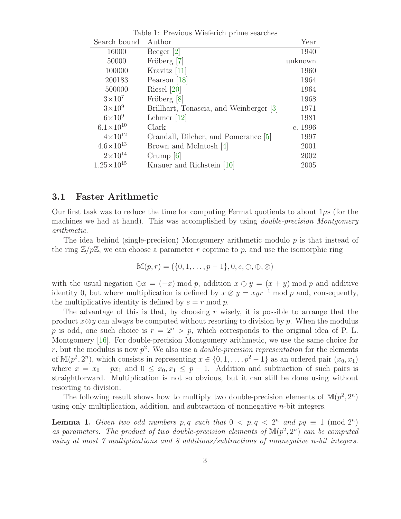| rable 1. I revious wielerich prime searches |                                         |         |  |  |  |
|---------------------------------------------|-----------------------------------------|---------|--|--|--|
| Search bound                                | Author                                  | Year    |  |  |  |
| 16000                                       | Beeger $[2]$                            | 1940    |  |  |  |
| 50000                                       | Fröberg [7]                             | unknown |  |  |  |
| 100000                                      | Kravitz [11]                            | 1960    |  |  |  |
| 200183                                      | Pearson $[18]$                          | 1964    |  |  |  |
| 500000                                      | Riesel $[20]$                           | 1964    |  |  |  |
| $3\times10^7$                               | Fröberg [8]                             | 1968    |  |  |  |
| $3\times10^9$                               | Brillhart, Tonascia, and Weinberger [3] | 1971    |  |  |  |
| $6\times10^9$                               | Lehmer $[12]$                           | 1981    |  |  |  |
| $6.1 \times 10^{10}$                        | Clark                                   | c. 1996 |  |  |  |
| $4 \times 10^{12}$                          | Crandall, Dilcher, and Pomerance [5]    | 1997    |  |  |  |
| $4.6 \times 10^{13}$                        | Brown and McIntosh [4]                  | 2001    |  |  |  |
| $2 \times 10^{14}$                          | Crump $[6]$                             | 2002    |  |  |  |
| $1.25 \times 10^{15}$                       | Knauer and Richstein [10]               | 2005    |  |  |  |

<span id="page-2-0"></span>Table 1: Previous Wieferich prime searches

#### 3.1 Faster Arithmetic

Our first task was to reduce the time for computing Fermat quotients to about  $1\mu s$  (for the machines we had at hand). This was accomplished by using *double-precision Montgomery* arithmetic.

The idea behind (single-precision) Montgomery arithmetic modulo  $p$  is that instead of the ring  $\mathbb{Z}/p\mathbb{Z}$ , we can choose a parameter r coprime to p, and use the isomorphic ring

 $\mathbb{M}(p, r) = (\{0, 1, \ldots, p - 1\}, 0, e, \ominus, \oplus, \otimes)$ 

with the usual negation  $\ominus x = (-x) \mod p$ , addition  $x \oplus y = (x + y) \mod p$  and additive identity 0, but where multiplication is defined by  $x \otimes y = xyr^{-1}$  mod p and, consequently, the multiplicative identity is defined by  $e = r \mod p$ .

The advantage of this is that, by choosing  $r$  wisely, it is possible to arrange that the product  $x \otimes y$  can always be computed without resorting to division by p. When the modulus p is odd, one such choice is  $r = 2^n > p$ , which corresponds to the original idea of P. L. Montgomery [\[16\]](#page-12-13). For double-precision Montgomery arithmetic, we use the same choice for r, but the modulus is now  $p^2$ . We also use a *double-precision representation* for the elements of  $\mathbb{M}(p^2, 2^n)$ , which consists in representing  $x \in \{0, 1, \ldots, p^2 - 1\}$  as an ordered pair  $(x_0, x_1)$ where  $x = x_0 + px_1$  and  $0 \le x_0, x_1 \le p-1$ . Addition and subtraction of such pairs is straightforward. Multiplication is not so obvious, but it can still be done using without resorting to division.

The following result shows how to multiply two double-precision elements of  $\mathbb{M}(p^2, 2^n)$ using only multiplication, addition, and subtraction of nonnegative  $n$ -bit integers.

**Lemma 1.** Given two odd numbers p, q such that  $0 < p, q < 2^n$  and  $pq \equiv 1 \pmod{2^n}$ as parameters. The product of two double-precision elements of  $\mathbb{M}(p^2, 2^n)$  can be computed using at most 7 multiplications and 8 additions/subtractions of nonnegative n-bit integers.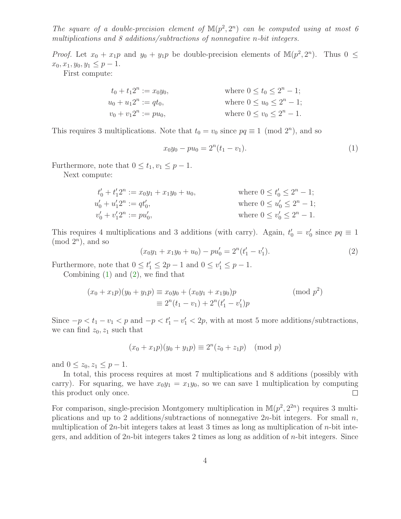The square of a double-precision element of  $\mathbb{M}(p^2, 2^n)$  can be computed using at most 6 multiplications and 8 additions/subtractions of nonnegative n-bit integers.

*Proof.* Let  $x_0 + x_1p$  and  $y_0 + y_1p$  be double-precision elements of  $\mathbb{M}(p^2, 2^n)$ . Thus  $0 \leq$  $x_0, x_1, y_0, y_1 \leq p-1.$ 

First compute:

$$
t_0 + t_1 2^n := x_0 y_0,
$$
  
\n
$$
u_0 + u_1 2^n := qt_0,
$$
  
\n
$$
v_0 + v_1 2^n := pu_0,
$$
  
\nwhere  $0 \le u_0 \le 2^n - 1$ ;  
\nwhere  $0 \le u_0 \le 2^n - 1$ ;  
\nwhere  $0 \le v_0 \le 2^n - 1$ .

This requires 3 multiplications. Note that  $t_0 = v_0$  since  $pq \equiv 1 \pmod{2^n}$ , and so

<span id="page-3-0"></span>
$$
x_0y_0 - pu_0 = 2^n(t_1 - v_1). \tag{1}
$$

Furthermore, note that  $0 \leq t_1, v_1 \leq p-1$ .

Next compute:

$$
t'_{0} + t'_{1}2^{n} := x_{0}y_{1} + x_{1}y_{0} + u_{0},
$$
  
\n
$$
u'_{0} + u'_{1}2^{n} := qt'_{0},
$$
  
\n
$$
v'_{0} + v'_{1}2^{n} := pu'_{0},
$$
  
\nwhere  $0 \leq u'_{0} \leq 2^{n} - 1;$   
\nwhere  $0 \leq u'_{0} \leq 2^{n} - 1.$   
\nwhere  $0 \leq v'_{0} \leq 2^{n} - 1.$ 

<span id="page-3-1"></span>This requires 4 multiplications and 3 additions (with carry). Again,  $t'_0 = v'_0$  since  $pq \equiv 1$  $(mod 2<sup>n</sup>)$ , and so

$$
(x_0y_1 + x_1y_0 + u_0) - pu'_0 = 2^n(t'_1 - v'_1).
$$
\n(2)

Furthermore, note that  $0 \le t'_1 \le 2p - 1$  and  $0 \le v'_1 \le p - 1$ .

Combining [\(1\)](#page-3-0) and [\(2\)](#page-3-1), we find that

$$
(x_0 + x_1 p)(y_0 + y_1 p) \equiv x_0 y_0 + (x_0 y_1 + x_1 y_0)p
$$
  
\n
$$
\equiv 2^n (t_1 - v_1) + 2^n (t'_1 - v'_1)p
$$
\n(mod p<sup>2</sup>)

Since  $-p < t_1 - v_1 < p$  and  $-p < t_1' - v_1' < 2p$ , with at most 5 more additions/subtractions, we can find  $z_0, z_1$  such that

$$
(x_0 + x_1 p)(y_0 + y_1 p) \equiv 2^n (z_0 + z_1 p) \pmod{p}
$$

and  $0 \leq z_0, z_1 \leq p-1$ .

In total, this process requires at most 7 multiplications and 8 additions (possibly with carry). For squaring, we have  $x_0y_1 = x_1y_0$ , so we can save 1 multiplication by computing this product only once.  $\Box$ 

For comparison, single-precision Montgomery multiplication in  $\mathbb{M}(p^2, 2^{2n})$  requires 3 multiplications and up to 2 additions/subtractions of nonnegative  $2n$ -bit integers. For small n, multiplication of  $2n$ -bit integers takes at least 3 times as long as multiplication of  $n$ -bit integers, and addition of  $2n$ -bit integers takes 2 times as long as addition of  $n$ -bit integers. Since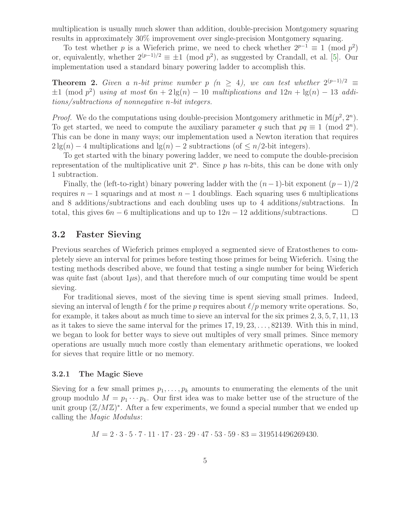multiplication is usually much slower than addition, double-precision Montgomery squaring results in approximately 30% improvement over single-precision Montgomery squaring.

To test whether p is a Wieferich prime, we need to check whether  $2^{p-1} \equiv 1 \pmod{p^2}$ or, equivalently, whether  $2^{(p-1)/2} \equiv \pm 1 \pmod{p^2}$ , as suggested by Crandall, et al. [\[5\]](#page-12-9). Our implementation used a standard binary powering ladder to accomplish this.

**Theorem 2.** Given a n-bit prime number p (n  $\geq$  4), we can test whether  $2^{(p-1)/2} \equiv$  $\pm 1 \pmod{p^2}$  using at most  $6n + 2\lg(n) - 10$  multiplications and  $12n + \lg(n) - 13$  additions/subtractions of nonnegative n-bit integers.

*Proof.* We do the computations using double-precision Montgomery arithmetic in  $\mathbb{M}(p^2, 2^n)$ . To get started, we need to compute the auxiliary parameter q such that  $pq \equiv 1 \pmod{2^n}$ . This can be done in many ways; our implementation used a Newton iteration that requires  $2 \lg(n) - 4$  multiplications and  $\lg(n) - 2$  subtractions (of  $\leq n/2$ -bit integers).

To get started with the binary powering ladder, we need to compute the double-precision representation of the multiplicative unit  $2^n$ . Since p has n-bits, this can be done with only 1 subtraction.

Finally, the (left-to-right) binary powering ladder with the  $(n-1)$ -bit exponent  $(p-1)/2$ requires  $n-1$  squarings and at most  $n-1$  doublings. Each squaring uses 6 multiplications and 8 additions/subtractions and each doubling uses up to 4 additions/subtractions. In total, this gives  $6n - 6$  multiplications and up to  $12n - 12$  additions/subtractions.  $\Box$ 

### 3.2 Faster Sieving

Previous searches of Wieferich primes employed a segmented sieve of Eratosthenes to completely sieve an interval for primes before testing those primes for being Wieferich. Using the testing methods described above, we found that testing a single number for being Wieferich was quite fast (about  $1\mu s$ ), and that therefore much of our computing time would be spent sieving.

For traditional sieves, most of the sieving time is spent sieving small primes. Indeed, sieving an interval of length  $\ell$  for the prime p requires about  $\ell/p$  memory write operations. So, for example, it takes about as much time to sieve an interval for the six primes 2, 3, 5, 7, 11, 13 as it takes to sieve the same interval for the primes  $17, 19, 23, \ldots, 82139$ . With this in mind, we began to look for better ways to sieve out multiples of very small primes. Since memory operations are usually much more costly than elementary arithmetic operations, we looked for sieves that require little or no memory.

#### 3.2.1 The Magic Sieve

Sieving for a few small primes  $p_1, \ldots, p_k$  amounts to enumerating the elements of the unit group modulo  $M = p_1 \cdots p_k$ . Our first idea was to make better use of the structure of the unit group  $(\mathbb{Z}/M\mathbb{Z})^*$ . After a few experiments, we found a special number that we ended up calling the Magic Modulus:

 $M = 2 \cdot 3 \cdot 5 \cdot 7 \cdot 11 \cdot 17 \cdot 23 \cdot 29 \cdot 47 \cdot 53 \cdot 59 \cdot 83 = 319514496269430.$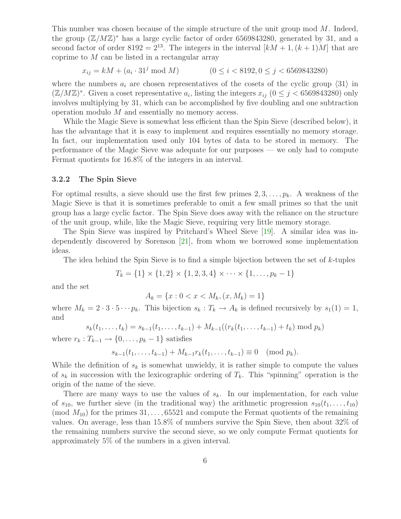This number was chosen because of the simple structure of the unit group mod M. Indeed, the group  $(\mathbb{Z}/M\mathbb{Z})^*$  has a large cyclic factor of order 6569843280, generated by 31, and a second factor of order 8192 =  $2^{13}$ . The integers in the interval  $[kM + 1, (k+1)M]$  that are coprime to  $M$  can be listed in a rectangular array

$$
x_{ij} = kM + (a_i \cdot 31^j \mod M) \qquad (0 \le i < 8192, 0 \le j < 6569843280)
$$

where the numbers  $a_i$  are chosen representatives of the cosets of the cyclic group  $\langle 31 \rangle$  in  $(\mathbb{Z}/M\mathbb{Z})^*$ . Given a coset representative  $a_i$ , listing the integers  $x_{ij}$   $(0 \leq j < 6569843280)$  only involves multiplying by 31, which can be accomplished by five doubling and one subtraction operation modulo M and essentially no memory access.

While the Magic Sieve is somewhat less efficient than the Spin Sieve (described below), it has the advantage that it is easy to implement and requires essentially no memory storage. In fact, our implementation used only 104 bytes of data to be stored in memory. The performance of the Magic Sieve was adequate for our purposes — we only had to compute Fermat quotients for 16.8% of the integers in an interval.

#### 3.2.2 The Spin Sieve

For optimal results, a sieve should use the first few primes  $2, 3, \ldots, p_k$ . A weakness of the Magic Sieve is that it is sometimes preferable to omit a few small primes so that the unit group has a large cyclic factor. The Spin Sieve does away with the reliance on the structure of the unit group, while, like the Magic Sieve, requiring very little memory storage.

The Spin Sieve was inspired by Pritchard's Wheel Sieve [\[19\]](#page-13-4). A similar idea was independently discovered by Sorenson [\[21\]](#page-13-5), from whom we borrowed some implementation ideas.

The idea behind the Spin Sieve is to find a simple bijection between the set of  $k$ -tuples

$$
T_k = \{1\} \times \{1, 2\} \times \{1, 2, 3, 4\} \times \cdots \times \{1, \ldots, p_k - 1\}
$$

and the set

$$
A_k = \{x : 0 < x < M_k, (x, M_k) = 1\}
$$

where  $M_k = 2 \cdot 3 \cdot 5 \cdots p_k$ . This bijection  $s_k : T_k \to A_k$  is defined recursively by  $s_1(1) = 1$ , and

$$
s_k(t_1,\ldots,t_k)=s_{k-1}(t_1,\ldots,t_{k-1})+M_{k-1}((r_k(t_1,\ldots,t_{k-1})+t_k)\bmod p_k)
$$

where  $r_k: T_{k-1} \to \{0, \ldots, p_k - 1\}$  satisfies

$$
s_{k-1}(t_1,\ldots,t_{k-1})+M_{k-1}r_k(t_1,\ldots,t_{k-1})\equiv 0\pmod{p_k}.
$$

While the definition of  $s_k$  is somewhat unwieldy, it is rather simple to compute the values of  $s_k$  in succession with the lexicographic ordering of  $T_k$ . This "spinning" operation is the origin of the name of the sieve.

There are many ways to use the values of  $s_k$ . In our implementation, for each value of  $s_{10}$ , we further sieve (in the traditional way) the arithmetic progression  $s_{10}(t_1, \ldots, t_{10})$ (mod  $M_{10}$ ) for the primes  $31, \ldots, 65521$  and compute the Fermat quotients of the remaining values. On average, less than 15.8% of numbers survive the Spin Sieve, then about 32% of the remaining numbers survive the second sieve, so we only compute Fermat quotients for approximately 5% of the numbers in a given interval.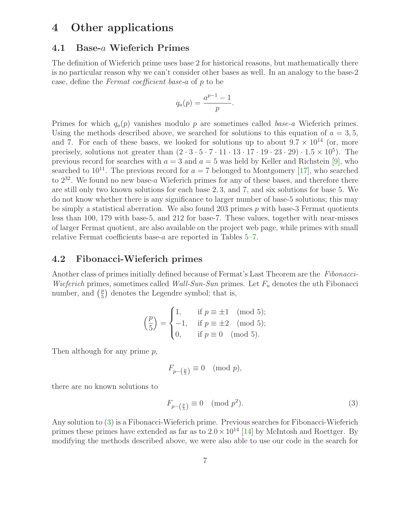# 4 Other applications

#### 4.1 Base-a Wieferich Primes

The definition of Wieferich prime uses base 2 for historical reasons, but mathematically there is no particular reason why we can't consider other bases as well. In an analogy to the base-2 case, define the Fermat coefficient base-a of p to be

$$
q_a(p) = \frac{a^{p-1}-1}{p}.
$$

Primes for which  $q_a(p)$  vanishes modulo p are sometimes called base-a Wieferich primes. Using the methods described above, we searched for solutions to this equation of  $a = 3, 5$ , and 7. For each of these bases, we looked for solutions up to about  $9.7 \times 10^{14}$  (or, more precisely, solutions not greater than  $(2 \cdot 3 \cdot 5 \cdot 7 \cdot 11 \cdot 13 \cdot 17 \cdot 19 \cdot 23 \cdot 29) \cdot 1.5 \times 10^5$ . The previous record for searches with  $a = 3$  and  $a = 5$  was held by Keller and Richstein [\[9\]](#page-12-14), who searched to  $10^{11}$ . The previous record for  $a = 7$  belonged to Montgomery [\[17\]](#page-13-6), who searched to  $2^{32}$ . We found no new base-a Wieferich primes for any of these bases, and therefore there are still only two known solutions for each base 2, 3, and 7, and six solutions for base 5. We do not know whether there is any significance to larger number of base-5 solutions; this may be simply a statistical aberration. We also found 203 primes  $p$  with base-3 Fermat quotients less than 100, 179 with base-5, and 212 for base-7. These values, together with near-misses of larger Fermat quotient, are also available on the project web page, while primes with small relative Fermat coefficients base-a are reported in Tables [5–](#page-10-0)[7.](#page-11-0)

#### 4.2 Fibonacci-Wieferich primes

Another class of primes initially defined because of Fermat's Last Theorem are the Fibonacci-Wieferich primes, sometimes called Wall-Sun-Sun primes. Let  $F_u$  denotes the uth Fibonacci number, and  $\left(\frac{p}{5}\right)$  $\frac{p}{5}$  denotes the Legendre symbol; that is,

$$
\left(\frac{p}{5}\right) = \begin{cases} 1, & \text{if } p \equiv \pm 1 \pmod{5}; \\ -1, & \text{if } p \equiv \pm 2 \pmod{5}; \\ 0, & \text{if } p \equiv 0 \pmod{5}. \end{cases}
$$

Then although for any prime  $p$ ,

<span id="page-6-0"></span>
$$
F_{p-\left(\frac{p}{5}\right)} \equiv 0 \pmod{p},
$$

there are no known solutions to

$$
F_{p-\left(\frac{p}{5}\right)} \equiv 0 \pmod{p^2}.\tag{3}
$$

Any solution to [\(3\)](#page-6-0) is a Fibonacci-Wieferich prime. Previous searches for Fibonacci-Wieferich primes these primes have extended as far as to  $2.0 \times 10^{14}$  [\[14\]](#page-12-15) by McIntosh and Roettger. By modifying the methods described above, we were also able to use our code in the search for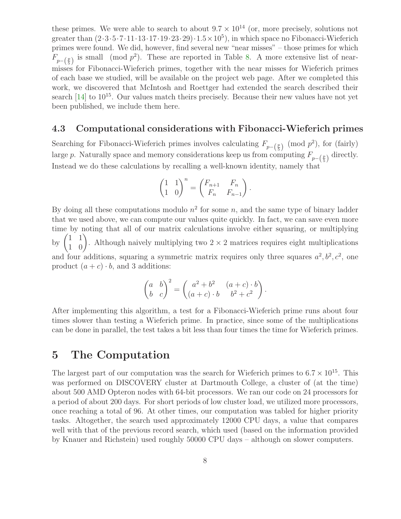these primes. We were able to search to about  $9.7 \times 10^{14}$  (or, more precisely, solutions not greater than  $(2 \cdot 3 \cdot 5 \cdot 7 \cdot 11 \cdot 13 \cdot 17 \cdot 19 \cdot 23 \cdot 29) \cdot 1.5 \times 10^5$ , in which space no Fibonacci-Wieferich primes were found. We did, however, find several new "near misses" – those primes for which  $F_{p-(\frac{p}{5})}$  is small (mod  $p^2$ ). These are reported in Table [8.](#page-11-1) A more extensive list of nearmisses for Fibonacci-Wieferich primes, together with the near misses for Wieferich primes of each base we studied, will be available on the project web page. After we completed this work, we discovered that McIntosh and Roettger had extended the search described their search  $[14]$  to  $10^{15}$ . Our values match theirs precisely. Because their new values have not yet been published, we include them here.

#### 4.3 Computational considerations with Fibonacci-Wieferich primes

Searching for Fibonacci-Wieferich primes involves calculating  $F_{p-(\frac{p}{5})} \pmod{p^2}$ , for (fairly) large p. Naturally space and memory considerations keep us from computing  $F_{p-\left(\frac{p}{5}\right)}$  directly. Instead we do these calculations by recalling a well-known identity, namely that

$$
\begin{pmatrix} 1 & 1 \ 1 & 0 \end{pmatrix}^n = \begin{pmatrix} F_{n+1} & F_n \ F_n & F_{n-1} \end{pmatrix}.
$$

By doing all these computations modulo  $n^2$  for some n, and the same type of binary ladder that we used above, we can compute our values quite quickly. In fact, we can save even more time by noting that all of our matrix calculations involve either squaring, or multiplying by  $\begin{pmatrix} 1 & 1 \\ 1 & 0 \end{pmatrix}$ . Although naively multiplying two  $2 \times 2$  matrices requires eight multiplications and four additions, squaring a symmetric matrix requires only three squares  $a^2, b^2, c^2$ , one product  $(a + c) \cdot b$ , and 3 additions:

$$
\begin{pmatrix} a & b \ b & c \end{pmatrix}^2 = \begin{pmatrix} a^2 + b^2 & (a+c) \cdot b \\ (a+c) \cdot b & b^2 + c^2 \end{pmatrix}.
$$

After implementing this algorithm, a test for a Fibonacci-Wieferich prime runs about four times slower than testing a Wieferich prime. In practice, since some of the multiplications can be done in parallel, the test takes a bit less than four times the time for Wieferich primes.

### 5 The Computation

The largest part of our computation was the search for Wieferich primes to  $6.7 \times 10^{15}$ . This was performed on DISCOVERY cluster at Dartmouth College, a cluster of (at the time) about 500 AMD Opteron nodes with 64-bit processors. We ran our code on 24 processors for a period of about 200 days. For short periods of low cluster load, we utilized more processors, once reaching a total of 96. At other times, our computation was tabled for higher priority tasks. Altogether, the search used approximately 12000 CPU days, a value that compares well with that of the previous record search, which used (based on the information provided by Knauer and Richstein) used roughly 50000 CPU days – although on slower computers.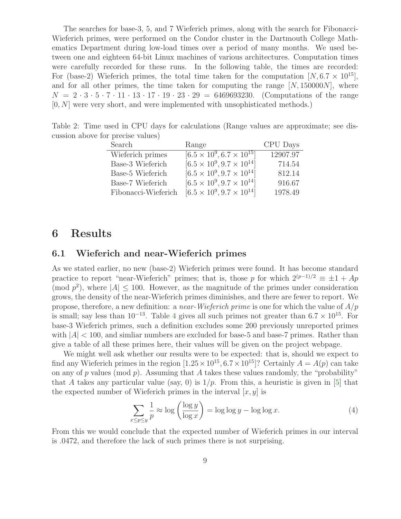The searches for base-3, 5, and 7 Wieferich primes, along with the search for Fibonacci-Wieferich primes, were performed on the Condor cluster in the Dartmouth College Mathematics Department during low-load times over a period of many months. We used between one and eighteen 64-bit Linux machines of various architectures. Computation times were carefully recorded for these runs. In the following table, the times are recorded: For (base-2) Wieferich primes, the total time taken for the computation  $[N, 6.7 \times 10^{15}]$ , and for all other primes, the time taken for computing the range  $[N, 150000N]$ , where  $N = 2 \cdot 3 \cdot 5 \cdot 7 \cdot 11 \cdot 13 \cdot 17 \cdot 19 \cdot 23 \cdot 29 = 6469693230.$  (Computations of the range  $[0, N]$  were very short, and were implemented with unsophisticated methods.)

Table 2: Time used in CPU days for calculations (Range values are approximate; see discussion above for precise values)

| Search              | Range                                   | CPU Days |
|---------------------|-----------------------------------------|----------|
| Wieferich primes    | $[6.5 \times 10^9, 6.7 \times 10^{15}]$ | 12907.97 |
| Base-3 Wieferich    | $[6.5 \times 10^9, 9.7 \times 10^{14}]$ | 714.54   |
| Base-5 Wieferich    | $[6.5 \times 10^9, 9.7 \times 10^{14}]$ | 812.14   |
| Base-7 Wieferich    | $[6.5 \times 10^9, 9.7 \times 10^{14}]$ | 916.67   |
| Fibonacci-Wieferich | $[6.5 \times 10^9, 9.7 \times 10^{14}]$ | 1978.49  |

### 6 Results

#### 6.1 Wieferich and near-Wieferich primes

As we stated earlier, no new (base-2) Wieferich primes were found. It has become standard practice to report "near-Wieferich" primes; that is, those p for which  $2^{(p-1)/2} \equiv \pm 1 + Ap$ (mod  $p^2$ ), where  $|A| \leq 100$ . However, as the magnitude of the primes under consideration grows, the density of the near-Wieferich primes diminishes, and there are fewer to report. We propose, therefore, a new definition: a *near-Wieferich prime* is one for which the value of  $A/p$ is small; say less than  $10^{-13}$ . Table [4](#page-10-1) gives all such primes not greater than  $6.7 \times 10^{15}$ . For base-3 Wieferich primes, such a definition excludes some 200 previously unreported primes with  $|A|$  < 100, and similar numbers are excluded for base-5 and base-7 primes. Rather than give a table of all these primes here, their values will be given on the project webpage.

We might well ask whether our results were to be expected: that is, should we expect to find any Wieferich primes in the region  $[1.25 \times 10^{15}, 6.7 \times 10^{15}]$ ? Certainly  $A = A(p)$  can take on any of p values (mod p). Assuming that A takes these values randomly, the "probability" that A takes any particular value (say, 0) is  $1/p$ . From this, a heuristic is given in [\[5\]](#page-12-9) that the expected number of Wieferich primes in the interval  $[x, y]$  is

<span id="page-8-0"></span>
$$
\sum_{x \le p \le y} \frac{1}{p} \approx \log \left( \frac{\log y}{\log x} \right) = \log \log y - \log \log x. \tag{4}
$$

From this we would conclude that the expected number of Wieferich primes in our interval is .0472, and therefore the lack of such primes there is not surprising.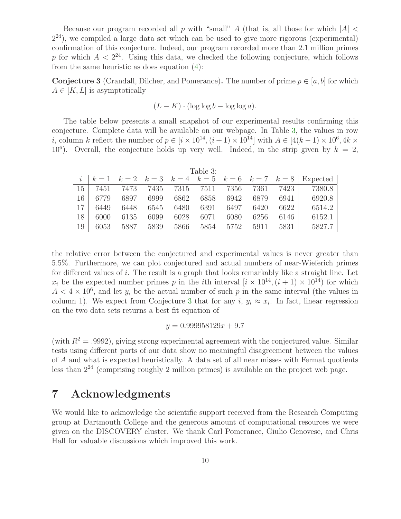Because our program recorded all p with "small" A (that is, all those for which  $|A|$  <  $2<sup>24</sup>$ ), we compiled a large data set which can be used to give more rigorous (experimental) confirmation of this conjecture. Indeed, our program recorded more than 2.1 million primes p for which  $A < 2^{24}$ . Using this data, we checked the following conjecture, which follows from the same heuristic as does equation [\(4\)](#page-8-0):

<span id="page-9-1"></span>**Conjecture 3** (Crandall, Dilcher, and Pomerance). The number of prime  $p \in [a, b]$  for which  $A \in [K, L]$  is asymptotically

<span id="page-9-0"></span>
$$
(L - K) \cdot (\log \log b - \log \log a).
$$

The table below presents a small snapshot of our experimental results confirming this conjecture. Complete data will be available on our webpage. In Table [3,](#page-9-0) the values in row *i*, column k reflect the number of  $p \in [i \times 10^{14}, (i+1) \times 10^{14}]$  with  $A \in [4(k-1) \times 10^6, 4k \times 10^{14}]$ 10<sup>6</sup>). Overall, the conjecture holds up very well. Indeed, in the strip given by  $k = 2$ ,

| Table 3: |      |      |      |      |                |      |      |      |                                                          |
|----------|------|------|------|------|----------------|------|------|------|----------------------------------------------------------|
|          |      |      |      |      |                |      |      |      | $k=1$ $k=2$ $k=3$ $k=4$ $k=5$ $k=6$ $k=7$ $k=8$ Expected |
| 15       | 7451 | 7473 |      |      | 7435 7315 7511 | 7356 | 7361 | 7423 | 7380.8                                                   |
| 16       | 6779 | 6897 | 6999 | 6862 | 6858           | 6942 | 6879 | 6941 | 6920.8                                                   |
| 17       | 6449 | 6448 | 6545 | 6480 | 6391           | 6497 | 6420 | 6622 | 6514.2                                                   |
| 18       | 6000 | 6135 | 6099 | 6028 | 6071           | 6080 | 6256 | 6146 | 6152.1                                                   |
| 19       | 6053 | 5887 | 5839 | 5866 | 5854           | 5752 | 5911 | 5831 | 5827.7                                                   |

the relative error between the conjectured and experimental values is never greater than 5.5%. Furthermore, we can plot conjectured and actual numbers of near-Wieferich primes for different values of i. The result is a graph that looks remarkably like a straight line. Let  $x_i$  be the expected number primes p in the *i*th interval  $[i \times 10^{14}, (i + 1) \times 10^{14})$  for which  $A < 4 \times 10^6$ , and let  $y_i$  be the actual number of such p in the same interval (the values in column 1). We expect from Conjecture [3](#page-9-1) that for any  $i, y_i \approx x_i$ . In fact, linear regression on the two data sets returns a best fit equation of

$$
y = 0.999958129x + 9.7
$$

(with  $R^2 = .9992$ ), giving strong experimental agreement with the conjectured value. Similar tests using different parts of our data show no meaningful disagreement between the values of A and what is expected heuristically. A data set of all near misses with Fermat quotients less than 2<sup>24</sup> (comprising roughly 2 million primes) is available on the project web page.

# 7 Acknowledgments

We would like to acknowledge the scientific support received from the Research Computing group at Dartmouth College and the generous amount of computational resources we were given on the DISCOVERY cluster. We thank Carl Pomerance, Giulio Genovese, and Chris Hall for valuable discussions which improved this work.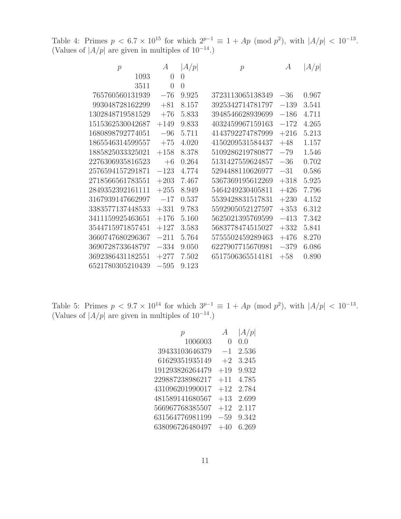<span id="page-10-1"></span>Table 4: Primes  $p < 6.7 \times 10^{15}$  for which  $2^{p-1} \equiv 1 + Ap \pmod{p^2}$ , with  $|A/p| < 10^{-13}$ . (Values of  $|A/p|$  are given in multiples of  $10^{-14}$ .)

| $\mathcal{p}$    | $\boldsymbol{A}$ | A/p              | $\mathcal{p}$    | А      | A/p   |
|------------------|------------------|------------------|------------------|--------|-------|
| 1093             | $\theta$         | $\left( \right)$ |                  |        |       |
| 3511             | $\theta$         | $\theta$         |                  |        |       |
| 765760560131939  | $-76$            | 9.925            | 3723113065138349 | $-36$  | 0.967 |
| 993048728162299  | $+81$            | 8.157            | 3925342714781797 | $-139$ | 3.541 |
| 1302848719581529 | $+76$            | 5.833            | 3948546628939699 | $-186$ | 4.711 |
| 1515362530042687 | $+149$           | 9.833            | 4032459967159163 | $-172$ | 4.265 |
| 1680898792774051 | $-96$            | 5.711            | 4143792274787999 | $+216$ | 5.213 |
| 1865546314599557 | $+75$            | 4.020            | 4150209531584437 | $+48$  | 1.157 |
| 1885825033325021 | $+158$           | 8.378            | 5109286219780877 | $-79$  | 1.546 |
| 2276306935816523 | $+6$             | 0.264            | 5131427559624857 | $-36$  | 0.702 |
| 2576594157291871 | $-123$           | 4.774            | 5294488110626977 | $-31$  | 0.586 |
| 2718566561783551 | $+203$           | 7.467            | 5367369195612269 | $+318$ | 5.925 |
| 2849352392161111 | $+255$           | 8.949            | 5464249230405811 | $+426$ | 7.796 |
| 3167939147662997 | $-17$            | 0.537            | 5539428831517831 | $+230$ | 4.152 |
| 3383577137448533 | $+331$           | 9.783            | 5592905052127597 | $+353$ | 6.312 |
| 3411159925463651 | $+176$           | 5.160            | 5625021395769599 | $-413$ | 7.342 |
| 3544715971857451 | $+127$           | 3.583            | 5683778474515027 | $+332$ | 5.841 |
| 3660747680296367 | $-211$           | 5.764            | 5755502459289463 | $+476$ | 8.270 |
| 3690728733648797 | $-334$           | 9.050            | 6227907715670981 | $-379$ | 6.086 |
| 3692386431182551 | $+277$           | 7.502            | 6517506365514181 | $+58$  | 0.890 |
| 6521780305210439 | $-595$           | 9.123            |                  |        |       |

<span id="page-10-0"></span>Table 5: Primes  $p < 9.7 \times 10^{14}$  for which  $3^{p-1} \equiv 1 + Ap \pmod{p^2}$ , with  $|A/p| < 10^{-13}$ . (Values of  $|A/p|$  are given in multiples of 10<sup>-14</sup>.)

|                  | A/p              |
|------------------|------------------|
| $\left( \right)$ | 0.0              |
| $-1$             | 2.536            |
| $+2$             | 3.245            |
| $+19$            | 9.932            |
| $+11$            | 4.785            |
| $+12$            | 2.784            |
| $+13$            | 2.699            |
| $+12$            | 2.117            |
| $-59$            | 9.342            |
| $+40$            | 6.269            |
|                  | $\boldsymbol{A}$ |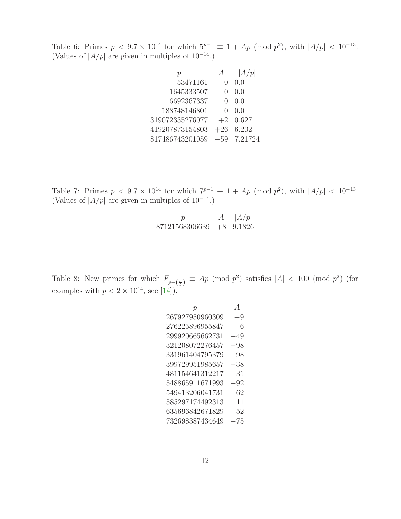Table 6: Primes  $p < 9.7 \times 10^{14}$  for which  $5^{p-1} \equiv 1 + Ap \pmod{p^2}$ , with  $|A/p| < 10^{-13}$ . (Values of  $|A/p|$  are given in multiples of  $10^{-14}$ .)

|                 |                  | A/p         |
|-----------------|------------------|-------------|
| 53471161        |                  | 0.0         |
| 1645333507      |                  | 0.0         |
| 6692367337      | $\left( \right)$ | 0.0         |
| 188748146801    |                  | (1)         |
| 319072335276077 | $+2$             | 0.627       |
| 419207873154803 |                  | $+26$ 6.202 |
| 817486743201059 | $-59$            | 7.21724     |
|                 |                  |             |

<span id="page-11-0"></span>Table 7: Primes  $p < 9.7 \times 10^{14}$  for which  $7^{p-1} \equiv 1 + Ap \pmod{p^2}$ , with  $|A/p| < 10^{-13}$ . (Values of  $|A/p|$  are given in multiples of 10<sup>-14</sup>.)

| 'D                             | $A \mid  A/p $ |
|--------------------------------|----------------|
| $87121568306639$ $+8$ $9.1826$ |                |

<span id="page-11-1"></span>Table 8: New primes for which  $F_{p-\left(\frac{p}{5}\right)} \equiv Ap \pmod{p^2}$  satisfies  $|A| < 100 \pmod{p^2}$  (for examples with  $p < 2 \times 10^{14}$ , see [\[14\]](#page-12-15)).

$$
\begin{array}{ccc} p & A \\ 267927950960309 & -9 \\ 276225896955847 & 6 \\ 299920665662731 & -49 \\ 321208072276457 & -98 \\ 331961404795379 & -98 \\ 399729951985657 & -38 \\ 481154641312217 & 31 \\ 548865911671993 & -92 \\ 549413206041731 & 62 \\ 585297174492313 & 11 \\ 635696842671829 & 52 \\ 732698387434649 & -75 \end{array}
$$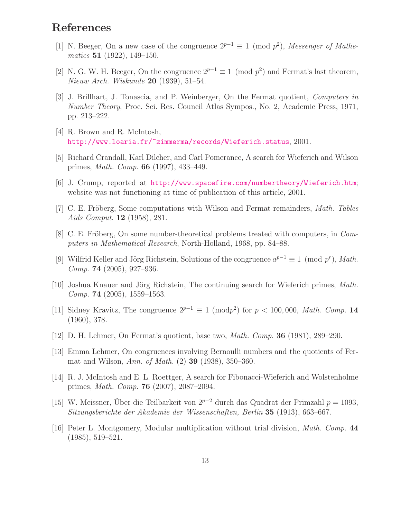## <span id="page-12-2"></span>References

- <span id="page-12-3"></span>[1] N. Beeger, On a new case of the congruence  $2^{p-1} \equiv 1 \pmod{p^2}$ , Messenger of Mathematics 51 (1922), 149–150.
- [2] N. G. W. H. Beeger, On the congruence  $2^{p-1} \equiv 1 \pmod{p^2}$  and Fermat's last theorem, Nieuw Arch. Wiskunde **20** (1939), 51–54.
- <span id="page-12-7"></span>[3] J. Brillhart, J. Tonascia, and P. Weinberger, On the Fermat quotient, Computers in Number Theory, Proc. Sci. Res. Council Atlas Sympos., No. 2, Academic Press, 1971, pp. 213–222.
- <span id="page-12-10"></span><span id="page-12-9"></span>[4] R. Brown and R. McIntosh, <http://www.loaria.fr/~zimmerma/records/Wieferich.status>, 2001.
- <span id="page-12-11"></span>[5] Richard Crandall, Karl Dilcher, and Carl Pomerance, A search for Wieferich and Wilson primes, Math. Comp. 66 (1997), 433–449.
- <span id="page-12-4"></span>[6] J. Crump, reported at <http://www.spacefire.com/numbertheory/Wieferich.htm>; website was not functioning at time of publication of this article, 2001.
- [7] C. E. Fröberg, Some computations with Wilson and Fermat remainders, *Math. Tables* Aids Comput. 12 (1958), 281.
- <span id="page-12-6"></span>[8] C. E. Fröberg, On some number-theoretical problems treated with computers, in  $Com$ puters in Mathematical Research, North-Holland, 1968, pp. 84–88.
- <span id="page-12-14"></span>[9] Wilfrid Keller and Jörg Richstein, Solutions of the congruence  $a^{p-1} \equiv 1 \pmod{p^r}$ , Math. *Comp.* **74** (2005), 927–936.
- <span id="page-12-12"></span>[10] Joshua Knauer and Jörg Richstein, The continuing search for Wieferich primes, Math.  $Comp. 74 (2005), 1559-1563.$
- <span id="page-12-5"></span>[11] Sidney Kravitz, The congruence  $2^{p-1} \equiv 1 \pmod{p^2}$  for  $p < 100,000$ , Math. Comp. 14 (1960), 378.
- <span id="page-12-8"></span><span id="page-12-0"></span>[12] D. H. Lehmer, On Fermat's quotient, base two, Math. Comp. 36 (1981), 289–290.
- [13] Emma Lehmer, On congruences involving Bernoulli numbers and the quotients of Fermat and Wilson, Ann. of Math. (2) 39 (1938), 350–360.
- <span id="page-12-15"></span>[14] R. J. McIntosh and E. L. Roettger, A search for Fibonacci-Wieferich and Wolstenholme primes, Math. Comp. 76 (2007), 2087–2094.
- <span id="page-12-1"></span>[15] W. Meissner, Über die Teilbarkeit von  $2^{p-2}$  durch das Quadrat der Primzahl  $p = 1093$ , Sitzungsberichte der Akademie der Wissenschaften, Berlin 35 (1913), 663–667.
- <span id="page-12-13"></span>[16] Peter L. Montgomery, Modular multiplication without trial division, Math. Comp. 44 (1985), 519–521.